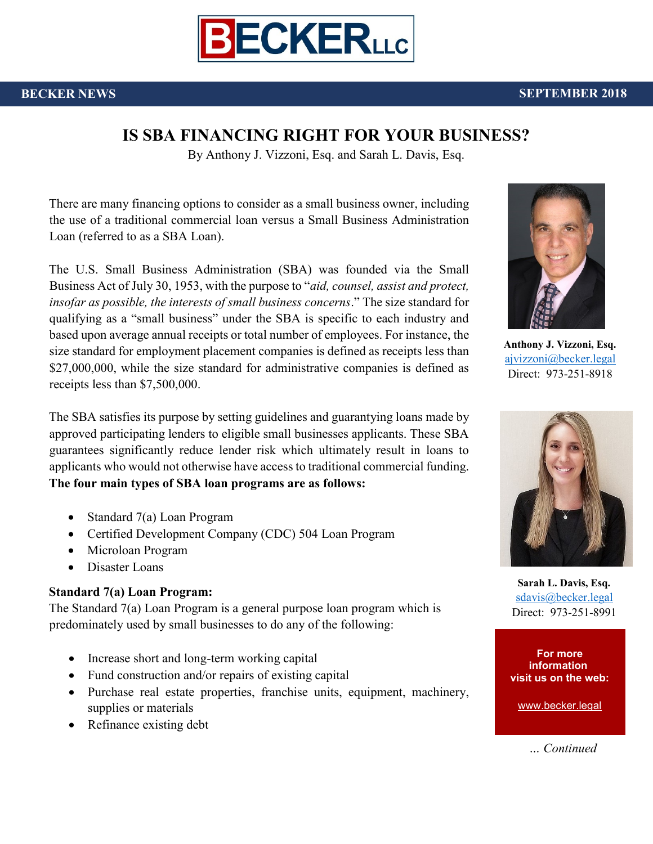

# **IS SBA FINANCING RIGHT FOR YOUR BUSINESS?**

By Anthony J. Vizzoni, Esq. and Sarah L. Davis, Esq.

There are many financing options to consider as a small business owner, including the use of a traditional commercial loan versus a Small Business Administration Loan (referred to as a SBA Loan).

The U.S. Small Business Administration (SBA) was founded via the Small Business Act of July 30, 1953, with the purpose to "*aid, counsel, assist and protect, insofar as possible, the interests of small business concerns*." The size standard for qualifying as a "small business" under the SBA is specific to each industry and based upon average annual receipts or total number of employees. For instance, the size standard for employment placement companies is defined as receipts less than \$27,000,000, while the size standard for administrative companies is defined as receipts less than \$7,500,000.

The SBA satisfies its purpose by setting guidelines and guarantying loans made by approved participating lenders to eligible small businesses applicants. These SBA guarantees significantly reduce lender risk which ultimately result in loans to applicants who would not otherwise have access to traditional commercial funding. **The four main types of SBA loan programs are as follows:** 

- Standard 7(a) Loan Program
- Certified Development Company (CDC) 504 Loan Program
- Microloan Program
- Disaster Loans

# **Standard 7(a) Loan Program:**

The Standard 7(a) Loan Program is a general purpose loan program which is predominately used by small businesses to do any of the following:

- Increase short and long-term working capital
- Fund construction and/or repairs of existing capital
- Purchase real estate properties, franchise units, equipment, machinery, supplies or materials
- Refinance existing debt



**Anthony J. Vizzoni, Esq.**  [ajvizzoni@becker.legal](file://///becker-srv01/Data/Docs/Becker%20Meisel/MARKETING%20MATERIAL%20FOR%20BECKER/PRESS%20RELEASES/2018/CML%20Articles/ajvizzoni@becker.legal) Direct: 973-251-8918



**Sarah L. Davis, Esq.**  [sdavis@becker.legal](file://///becker-srv01/Data/Docs/Becker%20Meisel/MARKETING%20MATERIAL%20FOR%20BECKER/PRESS%20RELEASES/2018/CML%20Articles/sdavis@becker.legal) Direct: 973-251-8991

**For more information visit us on the web:**

[www.becker.legal](file://///becker-srv01/Data/Docs/Becker%20Meisel/MARKETING%20MATERIAL%20FOR%20BECKER/PRESS%20RELEASES/2018/www.becker.legal)

© Becker LLC 2018 *… Continued*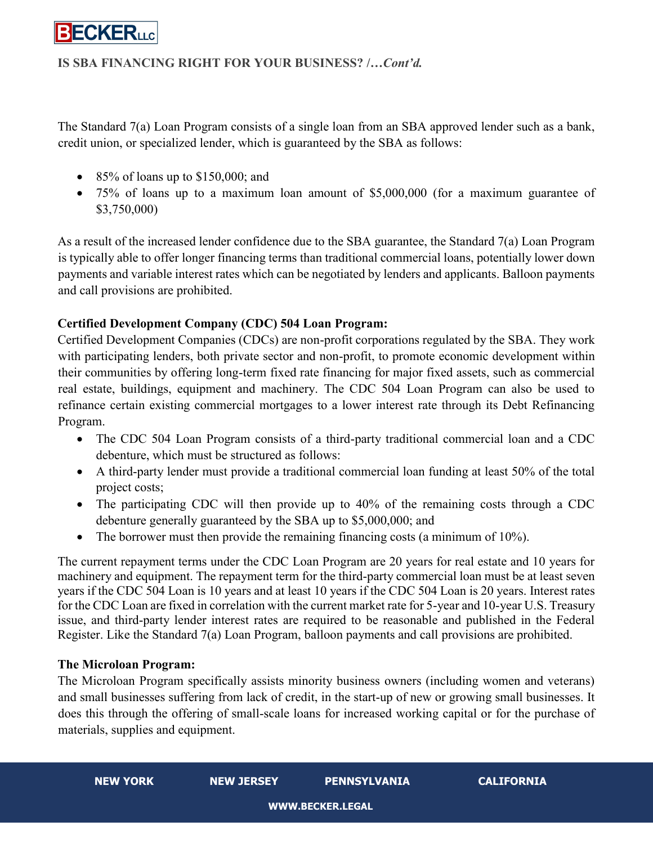

## **IS SBA FINANCING RIGHT FOR YOUR BUSINESS? /…***Cont'd.*

The Standard 7(a) Loan Program consists of a single loan from an SBA approved lender such as a bank, credit union, or specialized lender, which is guaranteed by the SBA as follows:

- $\bullet$  85% of loans up to \$150,000; and
- 75% of loans up to a maximum loan amount of \$5,000,000 (for a maximum guarantee of \$3,750,000)

As a result of the increased lender confidence due to the SBA guarantee, the Standard 7(a) Loan Program is typically able to offer longer financing terms than traditional commercial loans, potentially lower down payments and variable interest rates which can be negotiated by lenders and applicants. Balloon payments and call provisions are prohibited.

## **Certified Development Company (CDC) 504 Loan Program:**

Certified Development Companies (CDCs) are non-profit corporations regulated by the SBA. They work with participating lenders, both private sector and non-profit, to promote economic development within their communities by offering long-term fixed rate financing for major fixed assets, such as commercial real estate, buildings, equipment and machinery. The CDC 504 Loan Program can also be used to refinance certain existing commercial mortgages to a lower interest rate through its Debt Refinancing Program.

- The CDC 504 Loan Program consists of a third-party traditional commercial loan and a CDC debenture, which must be structured as follows:
- A third-party lender must provide a traditional commercial loan funding at least 50% of the total project costs;
- The participating CDC will then provide up to 40% of the remaining costs through a CDC debenture generally guaranteed by the SBA up to \$5,000,000; and
- The borrower must then provide the remaining financing costs (a minimum of 10%).

The current repayment terms under the CDC Loan Program are 20 years for real estate and 10 years for machinery and equipment. The repayment term for the third-party commercial loan must be at least seven years if the CDC 504 Loan is 10 years and at least 10 years if the CDC 504 Loan is 20 years. Interest rates for the CDC Loan are fixed in correlation with the current market rate for 5-year and 10-year U.S. Treasury issue, and third-party lender interest rates are required to be reasonable and published in the Federal Register. Like the Standard 7(a) Loan Program, balloon payments and call provisions are prohibited.

### **The Microloan Program:**

The Microloan Program specifically assists minority business owners (including women and veterans) and small businesses suffering from lack of credit, in the start-up of new or growing small businesses. It does this through the offering of small-scale loans for increased working capital or for the purchase of materials, supplies and equipment.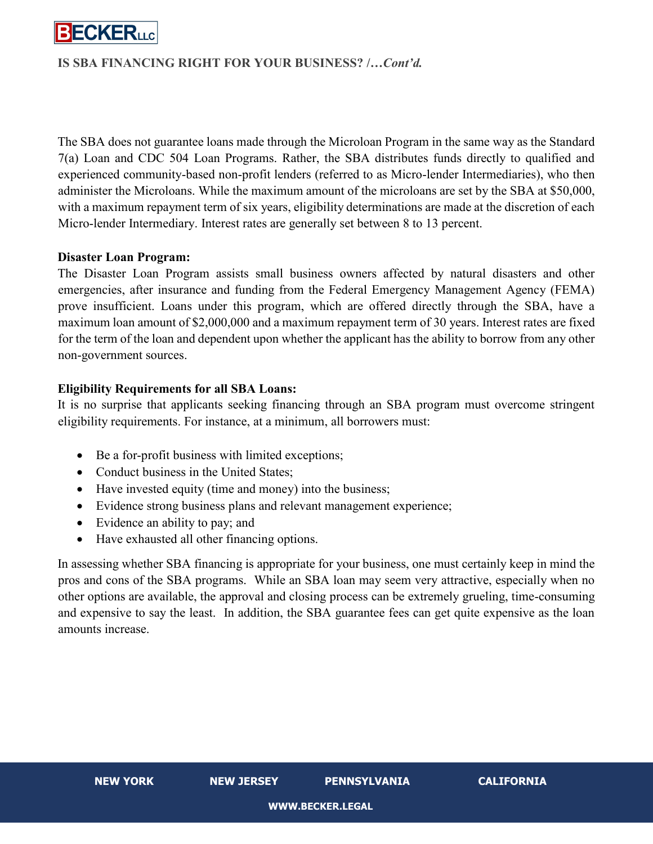

### **IS SBA FINANCING RIGHT FOR YOUR BUSINESS? /…***Cont'd.*

The SBA does not guarantee loans made through the Microloan Program in the same way as the Standard 7(a) Loan and CDC 504 Loan Programs. Rather, the SBA distributes funds directly to qualified and experienced community-based non-profit lenders (referred to as Micro-lender Intermediaries), who then administer the Microloans. While the maximum amount of the microloans are set by the SBA at \$50,000, with a maximum repayment term of six years, eligibility determinations are made at the discretion of each Micro-lender Intermediary. Interest rates are generally set between 8 to 13 percent.

#### **Disaster Loan Program:**

The Disaster Loan Program assists small business owners affected by natural disasters and other emergencies, after insurance and funding from the Federal Emergency Management Agency (FEMA) prove insufficient. Loans under this program, which are offered directly through the SBA, have a maximum loan amount of \$2,000,000 and a maximum repayment term of 30 years. Interest rates are fixed for the term of the loan and dependent upon whether the applicant has the ability to borrow from any other non-government sources.

### **Eligibility Requirements for all SBA Loans:**

It is no surprise that applicants seeking financing through an SBA program must overcome stringent eligibility requirements. For instance, at a minimum, all borrowers must:

- Be a for-profit business with limited exceptions;
- Conduct business in the United States:
- Have invested equity (time and money) into the business;
- Evidence strong business plans and relevant management experience;
- Evidence an ability to pay; and
- Have exhausted all other financing options.

In assessing whether SBA financing is appropriate for your business, one must certainly keep in mind the pros and cons of the SBA programs. While an SBA loan may seem very attractive, especially when no other options are available, the approval and closing process can be extremely grueling, time-consuming and expensive to say the least. In addition, the SBA guarantee fees can get quite expensive as the loan amounts increase.

**NEW YORK NEW JERSEY PENNSYLVANIA CALIFORNIA**